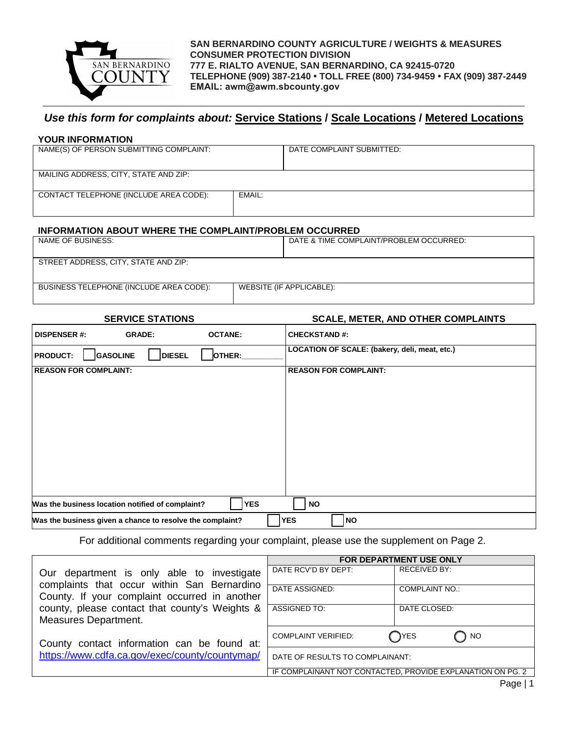

**SAN BERNARDINO COUNTY AGRICULTURE / WEIGHTS & MEASURES CONSUMER PROTECTION DIVISION 777 E. RIALTO AVENUE, SAN BERNARDINO, CA 92415-0720 TELEPHONE (909) 387-2140 TOLL FREE (800) 734-9459 FAX (909) 387-2449 EMAIL: awm@awm.sbcounty.gov**

## *Use this form for complaints about:* **Service Stations / Scale Locations / Metered Locations**

## **YOUR INFORMATION**

| NAME(S) OF PERSON SUBMITTING COMPLAINT: |        | DATE COMPLAINT SUBMITTED: |
|-----------------------------------------|--------|---------------------------|
|                                         |        |                           |
| MAILING ADDRESS, CITY, STATE AND ZIP:   |        |                           |
| CONTACT TELEPHONE (INCLUDE AREA CODE):  | EMAIL: |                           |
|                                         |        |                           |
|                                         |        |                           |

## **INFORMATION ABOUT WHERE THE COMPLAINT/PROBLEM OCCURRED**

| NAME OF BUSINESS:                       |                          | DATE & TIME COMPLAINT/PROBLEM OCCURRED: |
|-----------------------------------------|--------------------------|-----------------------------------------|
|                                         |                          |                                         |
| STREET ADDRESS, CITY, STATE AND ZIP:    |                          |                                         |
|                                         |                          |                                         |
| BUSINESS TELEPHONE (INCLUDE AREA CODE): | WEBSITE (IF APPLICABLE): |                                         |
|                                         |                          |                                         |

**SERVICE STATIONS SCALE, METER, AND OTHER COMPLAINTS**

| <b>DISPENSER #:</b>                                                                  | <b>GRADE:</b> | <b>OCTANE:</b> | <b>CHECKSTAND#:</b>                           |  |
|--------------------------------------------------------------------------------------|---------------|----------------|-----------------------------------------------|--|
| <b>GASOLINE</b><br><b>PRODUCT:</b>                                                   | <b>DIESEL</b> | OTHER:         | LOCATION OF SCALE: (bakery, deli, meat, etc.) |  |
| <b>REASON FOR COMPLAINT:</b>                                                         |               |                | <b>REASON FOR COMPLAINT:</b>                  |  |
|                                                                                      |               |                |                                               |  |
|                                                                                      |               |                |                                               |  |
|                                                                                      |               |                |                                               |  |
|                                                                                      |               |                |                                               |  |
|                                                                                      |               |                |                                               |  |
|                                                                                      |               |                |                                               |  |
| Was the business location notified of complaint?                                     |               | <b>YES</b>     | <b>NO</b>                                     |  |
| <b>YES</b><br><b>NO</b><br>Was the business given a chance to resolve the complaint? |               |                |                                               |  |

For additional comments regarding your complaint, please use the supplement on Page 2.

|                                                                                               | <b>FOR DEPARTMENT USE ONLY</b>                             |                                |  |
|-----------------------------------------------------------------------------------------------|------------------------------------------------------------|--------------------------------|--|
| Our department is only able to investigate<br>complaints that occur within San Bernardino     | DATE RCV'D BY DEPT:                                        | <b>RECEIVED BY:</b>            |  |
| County. If your complaint occurred in another                                                 | DATE ASSIGNED:                                             | <b>COMPLAINT NO.:</b>          |  |
| county, please contact that county's Weights &<br>Measures Department.                        | ASSIGNED TO:                                               | DATE CLOSED:                   |  |
| County contact information can be found at:<br>https://www.cdfa.ca.gov/exec/county/countymap/ | <b>COMPLAINT VERIFIED:</b>                                 | $\bigcap$ YES<br>$\sqrt{ }$ NO |  |
|                                                                                               | DATE OF RESULTS TO COMPLAINANT:                            |                                |  |
|                                                                                               | IF COMPLAINANT NOT CONTACTED. PROVIDE EXPLANATION ON PG. 2 |                                |  |